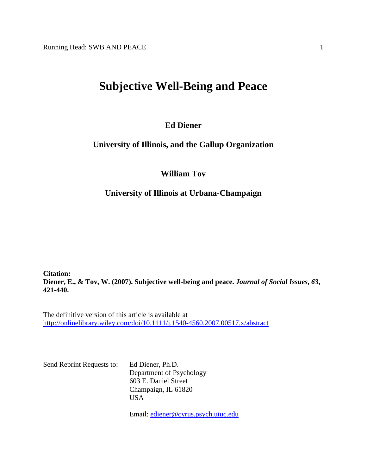# **Subjective Well-Being and Peace**

### **Ed Diener**

# **University of Illinois, and the Gallup Organization**

# **William Tov**

# **University of Illinois at Urbana-Champaign**

**Citation: Diener, E., & Tov, W. (2007). Subjective well-being and peace.** *Journal of Social Issues***,** *63***, 421-440.**

The definitive version of this article is available at <http://onlinelibrary.wiley.com/doi/10.1111/j.1540-4560.2007.00517.x/abstract>

| Send Reprint Requests to: | Ed Diener, Ph.D.         |
|---------------------------|--------------------------|
|                           | Department of Psychology |
|                           | 603 E. Daniel Street     |
|                           | Champaign, IL 61820      |
|                           | USA <sup>.</sup>         |
|                           |                          |

Email: [ediener@cyrus.psych.uiuc.edu](mailto:ediener@cyrus.psych.uiuc.edu)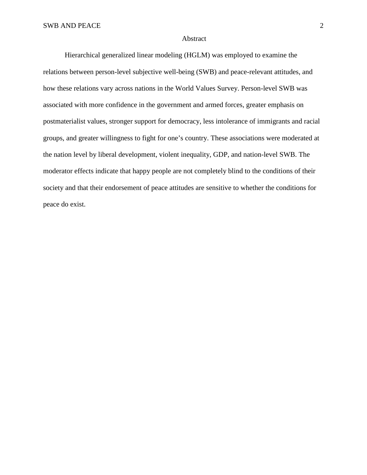#### Abstract

Hierarchical generalized linear modeling (HGLM) was employed to examine the relations between person-level subjective well-being (SWB) and peace-relevant attitudes, and how these relations vary across nations in the World Values Survey. Person-level SWB was associated with more confidence in the government and armed forces, greater emphasis on postmaterialist values, stronger support for democracy, less intolerance of immigrants and racial groups, and greater willingness to fight for one's country. These associations were moderated at the nation level by liberal development, violent inequality, GDP, and nation-level SWB. The moderator effects indicate that happy people are not completely blind to the conditions of their society and that their endorsement of peace attitudes are sensitive to whether the conditions for peace do exist.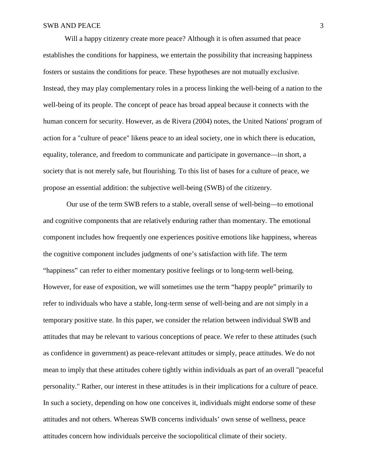Will a happy citizenry create more peace? Although it is often assumed that peace establishes the conditions for happiness, we entertain the possibility that increasing happiness fosters or sustains the conditions for peace. These hypotheses are not mutually exclusive. Instead, they may play complementary roles in a process linking the well-being of a nation to the well-being of its people. The concept of peace has broad appeal because it connects with the human concern for security. However, as de Rivera (2004) notes, the United Nations' program of action for a "culture of peace" likens peace to an ideal society, one in which there is education, equality, tolerance, and freedom to communicate and participate in governance—in short, a society that is not merely safe, but flourishing. To this list of bases for a culture of peace, we propose an essential addition: the subjective well-being (SWB) of the citizenry.

Our use of the term SWB refers to a stable, overall sense of well-being—to emotional and cognitive components that are relatively enduring rather than momentary. The emotional component includes how frequently one experiences positive emotions like happiness, whereas the cognitive component includes judgments of one's satisfaction with life. The term "happiness" can refer to either momentary positive feelings or to long-term well-being. However, for ease of exposition, we will sometimes use the term "happy people" primarily to refer to individuals who have a stable, long-term sense of well-being and are not simply in a temporary positive state. In this paper, we consider the relation between individual SWB and attitudes that may be relevant to various conceptions of peace. We refer to these attitudes (such as confidence in government) as peace-relevant attitudes or simply, peace attitudes. We do not mean to imply that these attitudes cohere tightly within individuals as part of an overall "peaceful personality." Rather, our interest in these attitudes is in their implications for a culture of peace. In such a society, depending on how one conceives it, individuals might endorse some of these attitudes and not others. Whereas SWB concerns individuals' own sense of wellness, peace attitudes concern how individuals perceive the sociopolitical climate of their society.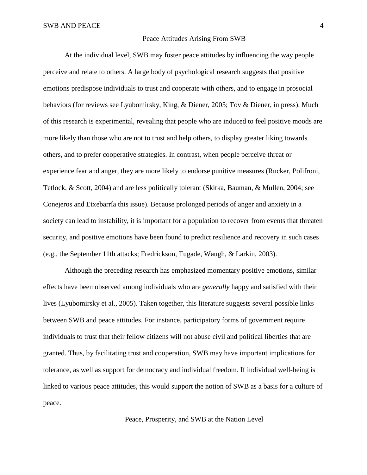#### Peace Attitudes Arising From SWB

At the individual level, SWB may foster peace attitudes by influencing the way people perceive and relate to others. A large body of psychological research suggests that positive emotions predispose individuals to trust and cooperate with others, and to engage in prosocial behaviors (for reviews see Lyubomirsky, King, & Diener, 2005; Tov & Diener, in press). Much of this research is experimental, revealing that people who are induced to feel positive moods are more likely than those who are not to trust and help others, to display greater liking towards others, and to prefer cooperative strategies. In contrast, when people perceive threat or experience fear and anger, they are more likely to endorse punitive measures (Rucker, Polifroni, Tetlock, & Scott, 2004) and are less politically tolerant (Skitka, Bauman, & Mullen, 2004; see Conejeros and Etxebarría this issue). Because prolonged periods of anger and anxiety in a society can lead to instability, it is important for a population to recover from events that threaten security, and positive emotions have been found to predict resilience and recovery in such cases (e.g., the September 11th attacks; Fredrickson, Tugade, Waugh, & Larkin, 2003).

Although the preceding research has emphasized momentary positive emotions, similar effects have been observed among individuals who are *generally* happy and satisfied with their lives (Lyubomirsky et al., 2005). Taken together, this literature suggests several possible links between SWB and peace attitudes. For instance, participatory forms of government require individuals to trust that their fellow citizens will not abuse civil and political liberties that are granted. Thus, by facilitating trust and cooperation, SWB may have important implications for tolerance, as well as support for democracy and individual freedom. If individual well-being is linked to various peace attitudes, this would support the notion of SWB as a basis for a culture of peace.

Peace, Prosperity, and SWB at the Nation Level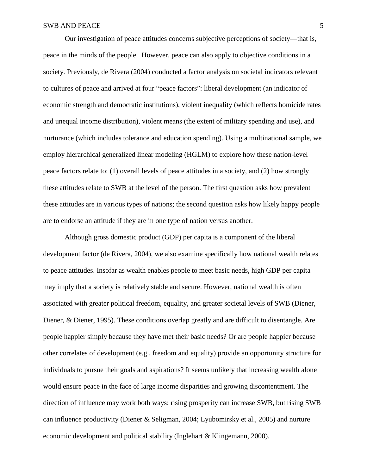Our investigation of peace attitudes concerns subjective perceptions of society—that is, peace in the minds of the people. However, peace can also apply to objective conditions in a society. Previously, de Rivera (2004) conducted a factor analysis on societal indicators relevant to cultures of peace and arrived at four "peace factors": liberal development (an indicator of economic strength and democratic institutions), violent inequality (which reflects homicide rates and unequal income distribution), violent means (the extent of military spending and use), and nurturance (which includes tolerance and education spending). Using a multinational sample, we employ hierarchical generalized linear modeling (HGLM) to explore how these nation-level peace factors relate to: (1) overall levels of peace attitudes in a society, and (2) how strongly these attitudes relate to SWB at the level of the person. The first question asks how prevalent these attitudes are in various types of nations; the second question asks how likely happy people are to endorse an attitude if they are in one type of nation versus another.

Although gross domestic product (GDP) per capita is a component of the liberal development factor (de Rivera, 2004), we also examine specifically how national wealth relates to peace attitudes. Insofar as wealth enables people to meet basic needs, high GDP per capita may imply that a society is relatively stable and secure. However, national wealth is often associated with greater political freedom, equality, and greater societal levels of SWB (Diener, Diener, & Diener, 1995). These conditions overlap greatly and are difficult to disentangle. Are people happier simply because they have met their basic needs? Or are people happier because other correlates of development (e.g., freedom and equality) provide an opportunity structure for individuals to pursue their goals and aspirations? It seems unlikely that increasing wealth alone would ensure peace in the face of large income disparities and growing discontentment. The direction of influence may work both ways: rising prosperity can increase SWB, but rising SWB can influence productivity (Diener & Seligman, 2004; Lyubomirsky et al., 2005) and nurture economic development and political stability (Inglehart & Klingemann, 2000).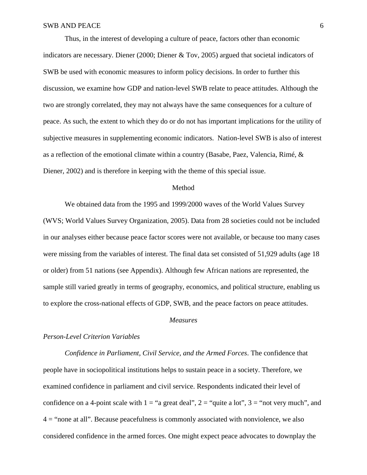Thus, in the interest of developing a culture of peace, factors other than economic indicators are necessary. Diener (2000; Diener & Tov, 2005) argued that societal indicators of SWB be used with economic measures to inform policy decisions. In order to further this discussion, we examine how GDP and nation-level SWB relate to peace attitudes. Although the two are strongly correlated, they may not always have the same consequences for a culture of peace. As such, the extent to which they do or do not has important implications for the utility of subjective measures in supplementing economic indicators. Nation-level SWB is also of interest as a reflection of the emotional climate within a country (Basabe, Paez, Valencia, Rimé, & Diener, 2002) and is therefore in keeping with the theme of this special issue.

### Method

We obtained data from the 1995 and 1999/2000 waves of the World Values Survey (WVS; World Values Survey Organization, 2005). Data from 28 societies could not be included in our analyses either because peace factor scores were not available, or because too many cases were missing from the variables of interest. The final data set consisted of 51,929 adults (age 18 or older) from 51 nations (see Appendix). Although few African nations are represented, the sample still varied greatly in terms of geography, economics, and political structure, enabling us to explore the cross-national effects of GDP, SWB, and the peace factors on peace attitudes.

### *Measures*

### *Person-Level Criterion Variables*

*Confidence in Parliament, Civil Service, and the Armed Forces*. The confidence that people have in sociopolitical institutions helps to sustain peace in a society. Therefore, we examined confidence in parliament and civil service. Respondents indicated their level of confidence on a 4-point scale with  $1 =$  "a great deal",  $2 =$  "quite a lot",  $3 =$  "not very much", and 4 = "none at all". Because peacefulness is commonly associated with nonviolence, we also considered confidence in the armed forces. One might expect peace advocates to downplay the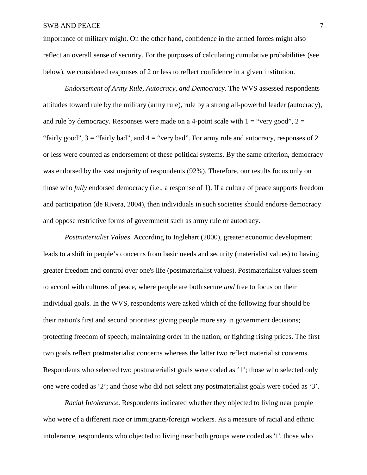importance of military might. On the other hand, confidence in the armed forces might also reflect an overall sense of security. For the purposes of calculating cumulative probabilities (see below), we considered responses of 2 or less to reflect confidence in a given institution.

*Endorsement of Army Rule, Autocracy, and Democracy*. The WVS assessed respondents attitudes toward rule by the military (army rule), rule by a strong all-powerful leader (autocracy), and rule by democracy. Responses were made on a 4-point scale with  $1 =$  "very good",  $2 =$ "fairly good",  $3 =$  "fairly bad", and  $4 =$  "very bad". For army rule and autocracy, responses of 2 or less were counted as endorsement of these political systems. By the same criterion, democracy was endorsed by the vast majority of respondents (92%). Therefore, our results focus only on those who *fully* endorsed democracy (i.e., a response of 1). If a culture of peace supports freedom and participation (de Rivera, 2004), then individuals in such societies should endorse democracy and oppose restrictive forms of government such as army rule or autocracy.

*Postmaterialist Values*. According to Inglehart (2000), greater economic development leads to a shift in people's concerns from basic needs and security (materialist values) to having greater freedom and control over one's life (postmaterialist values). Postmaterialist values seem to accord with cultures of peace, where people are both secure *and* free to focus on their individual goals. In the WVS, respondents were asked which of the following four should be their nation's first and second priorities: giving people more say in government decisions; protecting freedom of speech; maintaining order in the nation; or fighting rising prices. The first two goals reflect postmaterialist concerns whereas the latter two reflect materialist concerns. Respondents who selected two postmaterialist goals were coded as '1'; those who selected only one were coded as '2'; and those who did not select any postmaterialist goals were coded as '3'.

*Racial Intolerance*. Respondents indicated whether they objected to living near people who were of a different race or immigrants/foreign workers. As a measure of racial and ethnic intolerance, respondents who objected to living near both groups were coded as '1', those who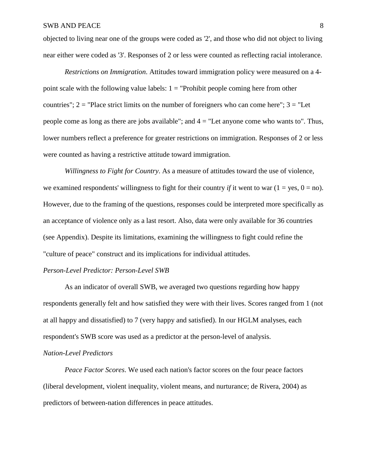objected to living near one of the groups were coded as '2', and those who did not object to living near either were coded as '3'. Responses of 2 or less were counted as reflecting racial intolerance.

*Restrictions on Immigration*. Attitudes toward immigration policy were measured on a 4 point scale with the following value labels: 1 = "Prohibit people coming here from other countries";  $2 =$  "Place strict limits on the number of foreigners who can come here";  $3 =$  "Let people come as long as there are jobs available"; and  $4 =$  "Let anyone come who wants to". Thus, lower numbers reflect a preference for greater restrictions on immigration. Responses of 2 or less were counted as having a restrictive attitude toward immigration.

*Willingness to Fight for Country*. As a measure of attitudes toward the use of violence, we examined respondents' willingness to fight for their country *if* it went to war  $(1 = yes, 0 = no)$ . However, due to the framing of the questions, responses could be interpreted more specifically as an acceptance of violence only as a last resort. Also, data were only available for 36 countries (see Appendix). Despite its limitations, examining the willingness to fight could refine the "culture of peace" construct and its implications for individual attitudes.

### *Person-Level Predictor: Person-Level SWB*

As an indicator of overall SWB, we averaged two questions regarding how happy respondents generally felt and how satisfied they were with their lives. Scores ranged from 1 (not at all happy and dissatisfied) to 7 (very happy and satisfied). In our HGLM analyses, each respondent's SWB score was used as a predictor at the person-level of analysis.

### *Nation-Level Predictors*

*Peace Factor Scores*. We used each nation's factor scores on the four peace factors (liberal development, violent inequality, violent means, and nurturance; de Rivera, 2004) as predictors of between-nation differences in peace attitudes.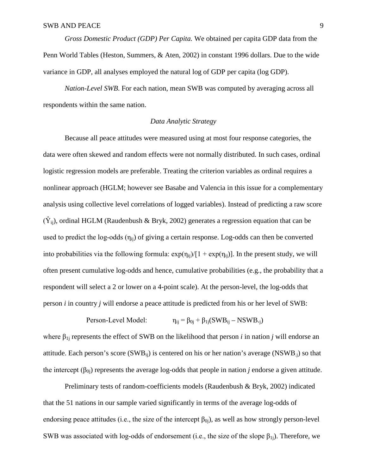*Gross Domestic Product (GDP) Per Capita.* We obtained per capita GDP data from the Penn World Tables (Heston, Summers, & Aten, 2002) in constant 1996 dollars. Due to the wide variance in GDP, all analyses employed the natural log of GDP per capita (log GDP).

*Nation-Level SWB*. For each nation, mean SWB was computed by averaging across all respondents within the same nation.

### *Data Analytic Strategy*

Because all peace attitudes were measured using at most four response categories, the data were often skewed and random effects were not normally distributed. In such cases, ordinal logistic regression models are preferable. Treating the criterion variables as ordinal requires a nonlinear approach (HGLM; however see Basabe and Valencia in this issue for a complementary analysis using collective level correlations of logged variables). Instead of predicting a raw score  $(\hat{Y}_{ii})$ , ordinal HGLM (Raudenbush & Bryk, 2002) generates a regression equation that can be used to predict the log-odds  $(\eta_{ii})$  of giving a certain response. Log-odds can then be converted into probabilities via the following formula:  $\exp(\eta_{ii})/[1 + \exp(\eta_{ii})]$ . In the present study, we will often present cumulative log-odds and hence, cumulative probabilities (e.g., the probability that a respondent will select a 2 or lower on a 4-point scale). At the person-level, the log-odds that person *i* in country *j* will endorse a peace attitude is predicted from his or her level of SWB:

Person-Level Model:  $\eta_{ii} = \beta_{0i} + \beta_{1i}(SWB_{ii} - NSWB_{i})$ 

where  $\beta_{1i}$  represents the effect of SWB on the likelihood that person *i* in nation *j* will endorse an attitude. Each person's score  $(SWB_{ii})$  is centered on his or her nation's average  $(NSWB_{i})$  so that the intercept  $(\beta_{0i})$  represents the average log-odds that people in nation *j* endorse a given attitude.

Preliminary tests of random-coefficients models (Raudenbush & Bryk, 2002) indicated that the 51 nations in our sample varied significantly in terms of the average log-odds of endorsing peace attitudes (i.e., the size of the intercept  $\beta_{0i}$ ), as well as how strongly person-level SWB was associated with log-odds of endorsement (i.e., the size of the slope  $\beta_{1i}$ ). Therefore, we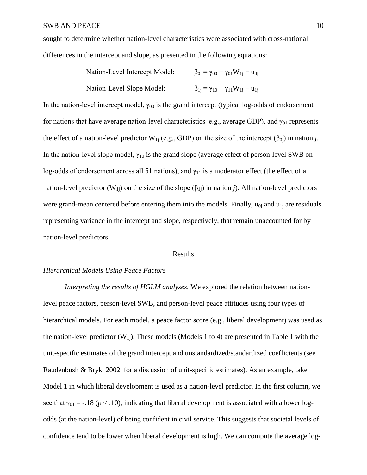sought to determine whether nation-level characteristics were associated with cross-national differences in the intercept and slope, as presented in the following equations:

| Nation-Level Intercept Model: | $\beta_{0i} = \gamma_{00} + \gamma_{01} W_{1i} + u_{0i}$ |
|-------------------------------|----------------------------------------------------------|
| Nation-Level Slope Model:     | $\beta_{1i} = \gamma_{10} + \gamma_{11}W_{1i} + u_{1i}$  |

In the nation-level intercept model,  $\gamma_{00}$  is the grand intercept (typical log-odds of endorsement for nations that have average nation-level characteristics–e.g., average GDP), and  $\gamma_{01}$  represents the effect of a nation-level predictor  $W_{1j}$  (e.g., GDP) on the size of the intercept ( $\beta_{0j}$ ) in nation *j*. In the nation-level slope model,  $\gamma_{10}$  is the grand slope (average effect of person-level SWB on log-odds of endorsement across all 51 nations), and  $\gamma_{11}$  is a moderator effect (the effect of a nation-level predictor (W<sub>1j</sub>) on the size of the slope ( $\beta_{1j}$ ) in nation *j*). All nation-level predictors were grand-mean centered before entering them into the models. Finally,  $u_{0i}$  and  $u_{1i}$  are residuals representing variance in the intercept and slope, respectively, that remain unaccounted for by nation-level predictors.

### Results

#### *Hierarchical Models Using Peace Factors*

*Interpreting the results of HGLM analyses.* We explored the relation between nationlevel peace factors, person-level SWB, and person-level peace attitudes using four types of hierarchical models. For each model, a peace factor score (e.g., liberal development) was used as the nation-level predictor  $(W_{1i})$ . These models (Models 1 to 4) are presented in Table 1 with the unit-specific estimates of the grand intercept and unstandardized/standardized coefficients (see Raudenbush & Bryk, 2002, for a discussion of unit-specific estimates). As an example, take Model 1 in which liberal development is used as a nation-level predictor. In the first column, we see that  $\gamma_{01} = -.18$  ( $p < .10$ ), indicating that liberal development is associated with a lower logodds (at the nation-level) of being confident in civil service. This suggests that societal levels of confidence tend to be lower when liberal development is high. We can compute the average log-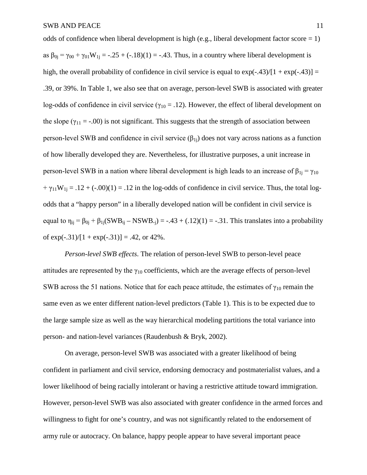odds of confidence when liberal development is high (e.g., liberal development factor score  $= 1$ ) as  $\beta_{0j} = \gamma_{00} + \gamma_{01} W_{1j} = -.25 + (-.18)(1) = -.43$ . Thus, in a country where liberal development is high, the overall probability of confidence in civil service is equal to  $exp(-.43)/[1 + exp(-.43)] =$ .39, or 39%. In Table 1, we also see that on average, person-level SWB is associated with greater log-odds of confidence in civil service ( $\gamma_{10} = .12$ ). However, the effect of liberal development on the slope ( $\gamma_{11} = -0.00$ ) is not significant. This suggests that the strength of association between person-level SWB and confidence in civil service  $(β<sub>1i</sub>)$  does not vary across nations as a function of how liberally developed they are. Nevertheless, for illustrative purposes, a unit increase in person-level SWB in a nation where liberal development is high leads to an increase of  $β_{1i} = γ_{10}$  $+\gamma_{11}W_{1i} = .12 + (-.00)(1) = .12$  in the log-odds of confidence in civil service. Thus, the total logodds that a "happy person" in a liberally developed nation will be confident in civil service is equal to  $\eta_{ii} = \beta_{0i} + \beta_{1i}(SWB_{ii} - NSWB_{i}) = -.43 + (.12)(1) = -.31$ . This translates into a probability of  $\exp(-.31)/[1 + \exp(-.31)] = .42$ , or 42%.

*Person-level SWB effects*. The relation of person-level SWB to person-level peace attitudes are represented by the  $\gamma_{10}$  coefficients, which are the average effects of person-level SWB across the 51 nations. Notice that for each peace attitude, the estimates of  $\gamma_{10}$  remain the same even as we enter different nation-level predictors (Table 1). This is to be expected due to the large sample size as well as the way hierarchical modeling partitions the total variance into person- and nation-level variances (Raudenbush & Bryk, 2002).

On average, person-level SWB was associated with a greater likelihood of being confident in parliament and civil service, endorsing democracy and postmaterialist values, and a lower likelihood of being racially intolerant or having a restrictive attitude toward immigration. However, person-level SWB was also associated with greater confidence in the armed forces and willingness to fight for one's country, and was not significantly related to the endorsement of army rule or autocracy. On balance, happy people appear to have several important peace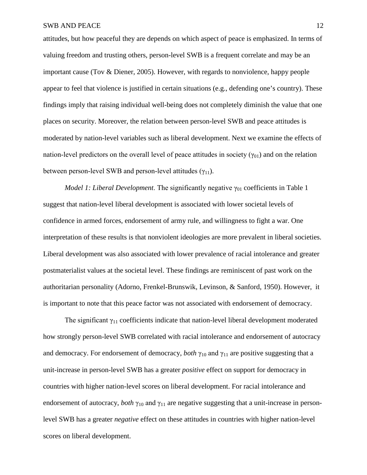attitudes, but how peaceful they are depends on which aspect of peace is emphasized. In terms of valuing freedom and trusting others, person-level SWB is a frequent correlate and may be an important cause (Tov & Diener, 2005). However, with regards to nonviolence, happy people appear to feel that violence is justified in certain situations (e.g., defending one's country). These findings imply that raising individual well-being does not completely diminish the value that one places on security. Moreover, the relation between person-level SWB and peace attitudes is moderated by nation-level variables such as liberal development. Next we examine the effects of nation-level predictors on the overall level of peace attitudes in society ( $\gamma_{01}$ ) and on the relation between person-level SWB and person-level attitudes  $(\gamma_{11})$ .

*Model 1: Liberal Development.* The significantly negative  $\gamma_{01}$  coefficients in Table 1 suggest that nation-level liberal development is associated with lower societal levels of confidence in armed forces, endorsement of army rule, and willingness to fight a war. One interpretation of these results is that nonviolent ideologies are more prevalent in liberal societies. Liberal development was also associated with lower prevalence of racial intolerance and greater postmaterialist values at the societal level. These findings are reminiscent of past work on the authoritarian personality (Adorno, Frenkel-Brunswik, Levinson, & Sanford, 1950). However, it is important to note that this peace factor was not associated with endorsement of democracy.

The significant  $\gamma_{11}$  coefficients indicate that nation-level liberal development moderated how strongly person-level SWB correlated with racial intolerance and endorsement of autocracy and democracy. For endorsement of democracy, *both*  $\gamma_{10}$  and  $\gamma_{11}$  are positive suggesting that a unit-increase in person-level SWB has a greater *positive* effect on support for democracy in countries with higher nation-level scores on liberal development. For racial intolerance and endorsement of autocracy, *both*  $\gamma_{10}$  and  $\gamma_{11}$  are negative suggesting that a unit-increase in personlevel SWB has a greater *negative* effect on these attitudes in countries with higher nation-level scores on liberal development.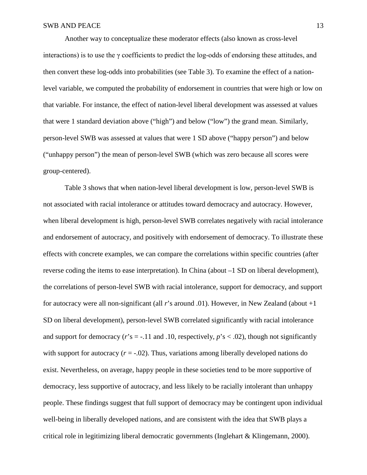Another way to conceptualize these moderator effects (also known as cross-level interactions) is to use the  $\gamma$  coefficients to predict the log-odds of endorsing these attitudes, and then convert these log-odds into probabilities (see Table 3). To examine the effect of a nationlevel variable, we computed the probability of endorsement in countries that were high or low on that variable. For instance, the effect of nation-level liberal development was assessed at values that were 1 standard deviation above ("high") and below ("low") the grand mean. Similarly, person-level SWB was assessed at values that were 1 SD above ("happy person") and below ("unhappy person") the mean of person-level SWB (which was zero because all scores were group-centered).

Table 3 shows that when nation-level liberal development is low, person-level SWB is not associated with racial intolerance or attitudes toward democracy and autocracy. However, when liberal development is high, person-level SWB correlates negatively with racial intolerance and endorsement of autocracy, and positively with endorsement of democracy. To illustrate these effects with concrete examples, we can compare the correlations within specific countries (after reverse coding the items to ease interpretation). In China (about –1 SD on liberal development), the correlations of person-level SWB with racial intolerance, support for democracy, and support for autocracy were all non-significant (all *r*'s around .01). However, in New Zealand (about +1 SD on liberal development), person-level SWB correlated significantly with racial intolerance and support for democracy ( $r$ 's = -.11 and .10, respectively,  $p$ 's < .02), though not significantly with support for autocracy  $(r = -0.02)$ . Thus, variations among liberally developed nations do exist. Nevertheless, on average, happy people in these societies tend to be more supportive of democracy, less supportive of autocracy, and less likely to be racially intolerant than unhappy people. These findings suggest that full support of democracy may be contingent upon individual well-being in liberally developed nations, and are consistent with the idea that SWB plays a critical role in legitimizing liberal democratic governments (Inglehart & Klingemann, 2000).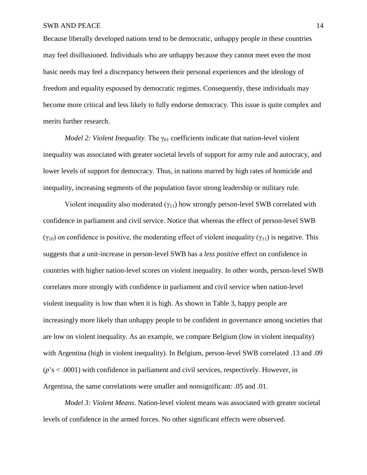Because liberally developed nations tend to be democratic, unhappy people in these countries may feel disillusioned. Individuals who are unhappy because they cannot meet even the most basic needs may feel a discrepancy between their personal experiences and the ideology of freedom and equality espoused by democratic regimes. Consequently, these individuals may become more critical and less likely to fully endorse democracy. This issue is quite complex and merits further research.

*Model 2: Violent Inequality.* The  $\gamma_{01}$  coefficients indicate that nation-level violent inequality was associated with greater societal levels of support for army rule and autocracy, and lower levels of support for democracy. Thus, in nations marred by high rates of homicide and inequality, increasing segments of the population favor strong leadership or military rule.

Violent inequality also moderated  $(\gamma_{11})$  how strongly person-level SWB correlated with confidence in parliament and civil service. Notice that whereas the effect of person-level SWB (γ<sub>10</sub>) on confidence is positive, the moderating effect of violent inequality (γ<sub>11</sub>) is negative. This suggests that a unit-increase in person-level SWB has a *less positive* effect on confidence in countries with higher nation-level scores on violent inequality. In other words, person-level SWB correlates more strongly with confidence in parliament and civil service when nation-level violent inequality is low than when it is high. As shown in Table 3, happy people are increasingly more likely than unhappy people to be confident in governance among societies that are low on violent inequality. As an example, we compare Belgium (low in violent inequality) with Argentina (high in violent inequality). In Belgium, person-level SWB correlated .13 and .09 (*p*'s < .0001) with confidence in parliament and civil services, respectively. However, in Argentina, the same correlations were smaller and nonsignificant: .05 and .01.

*Model 3: Violent Means*. Nation-level violent means was associated with greater societal levels of confidence in the armed forces. No other significant effects were observed.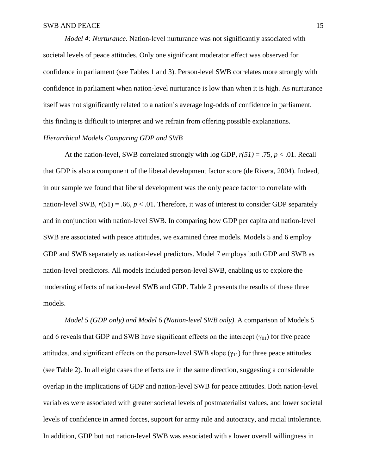*Model 4: Nurturance*. Nation-level nurturance was not significantly associated with societal levels of peace attitudes. Only one significant moderator effect was observed for confidence in parliament (see Tables 1 and 3). Person-level SWB correlates more strongly with confidence in parliament when nation-level nurturance is low than when it is high. As nurturance itself was not significantly related to a nation's average log-odds of confidence in parliament, this finding is difficult to interpret and we refrain from offering possible explanations.

### *Hierarchical Models Comparing GDP and SWB*

At the nation-level, SWB correlated strongly with log GDP, *r(51)* = .75, *p* < .01. Recall that GDP is also a component of the liberal development factor score (de Rivera, 2004). Indeed, in our sample we found that liberal development was the only peace factor to correlate with nation-level SWB,  $r(51) = .66$ ,  $p < .01$ . Therefore, it was of interest to consider GDP separately and in conjunction with nation-level SWB. In comparing how GDP per capita and nation-level SWB are associated with peace attitudes, we examined three models. Models 5 and 6 employ GDP and SWB separately as nation-level predictors. Model 7 employs both GDP and SWB as nation-level predictors. All models included person-level SWB, enabling us to explore the moderating effects of nation-level SWB and GDP. Table 2 presents the results of these three models.

*Model 5 (GDP only) and Model 6 (Nation-level SWB only)*. A comparison of Models 5 and 6 reveals that GDP and SWB have significant effects on the intercept  $(\gamma_{01})$  for five peace attitudes, and significant effects on the person-level SWB slope  $(\gamma_{11})$  for three peace attitudes (see Table 2). In all eight cases the effects are in the same direction, suggesting a considerable overlap in the implications of GDP and nation-level SWB for peace attitudes. Both nation-level variables were associated with greater societal levels of postmaterialist values, and lower societal levels of confidence in armed forces, support for army rule and autocracy, and racial intolerance. In addition, GDP but not nation-level SWB was associated with a lower overall willingness in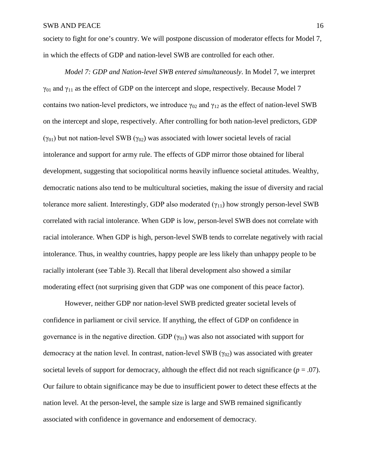society to fight for one's country. We will postpone discussion of moderator effects for Model 7, in which the effects of GDP and nation-level SWB are controlled for each other.

*Model 7: GDP and Nation-level SWB entered simultaneously*. In Model 7, we interpret  $\gamma_{01}$  and  $\gamma_{11}$  as the effect of GDP on the intercept and slope, respectively. Because Model 7 contains two nation-level predictors, we introduce  $\gamma_{02}$  and  $\gamma_{12}$  as the effect of nation-level SWB on the intercept and slope, respectively. After controlling for both nation-level predictors, GDP  $(γ<sub>01</sub>)$  but not nation-level SWB  $(γ<sub>02</sub>)$  was associated with lower societal levels of racial intolerance and support for army rule. The effects of GDP mirror those obtained for liberal development, suggesting that sociopolitical norms heavily influence societal attitudes. Wealthy, democratic nations also tend to be multicultural societies, making the issue of diversity and racial tolerance more salient. Interestingly, GDP also moderated  $(\gamma_{11})$  how strongly person-level SWB correlated with racial intolerance. When GDP is low, person-level SWB does not correlate with racial intolerance. When GDP is high, person-level SWB tends to correlate negatively with racial intolerance. Thus, in wealthy countries, happy people are less likely than unhappy people to be racially intolerant (see Table 3). Recall that liberal development also showed a similar moderating effect (not surprising given that GDP was one component of this peace factor).

However, neither GDP nor nation-level SWB predicted greater societal levels of confidence in parliament or civil service. If anything, the effect of GDP on confidence in governance is in the negative direction. GDP  $(\gamma_{01})$  was also not associated with support for democracy at the nation level. In contrast, nation-level SWB ( $\gamma_{02}$ ) was associated with greater societal levels of support for democracy, although the effect did not reach significance  $(p = .07)$ . Our failure to obtain significance may be due to insufficient power to detect these effects at the nation level. At the person-level, the sample size is large and SWB remained significantly associated with confidence in governance and endorsement of democracy.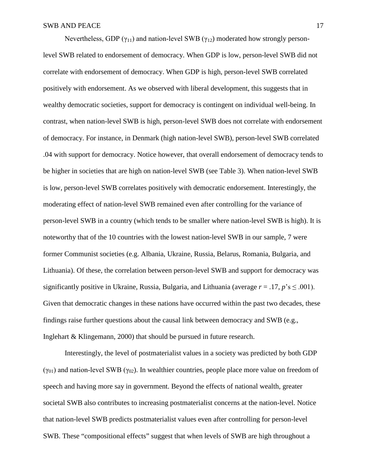Nevertheless, GDP ( $\gamma_{11}$ ) and nation-level SWB ( $\gamma_{12}$ ) moderated how strongly personlevel SWB related to endorsement of democracy. When GDP is low, person-level SWB did not correlate with endorsement of democracy. When GDP is high, person-level SWB correlated positively with endorsement. As we observed with liberal development, this suggests that in wealthy democratic societies, support for democracy is contingent on individual well-being. In contrast, when nation-level SWB is high, person-level SWB does not correlate with endorsement of democracy. For instance, in Denmark (high nation-level SWB), person-level SWB correlated .04 with support for democracy. Notice however, that overall endorsement of democracy tends to be higher in societies that are high on nation-level SWB (see Table 3). When nation-level SWB is low, person-level SWB correlates positively with democratic endorsement. Interestingly, the moderating effect of nation-level SWB remained even after controlling for the variance of person-level SWB in a country (which tends to be smaller where nation-level SWB is high). It is noteworthy that of the 10 countries with the lowest nation-level SWB in our sample, 7 were former Communist societies (e.g. Albania, Ukraine, Russia, Belarus, Romania, Bulgaria, and Lithuania). Of these, the correlation between person-level SWB and support for democracy was significantly positive in Ukraine, Russia, Bulgaria, and Lithuania (average  $r = .17$ ,  $p$ 's  $\leq .001$ ). Given that democratic changes in these nations have occurred within the past two decades, these findings raise further questions about the causal link between democracy and SWB (e.g., Inglehart & Klingemann, 2000) that should be pursued in future research.

Interestingly, the level of postmaterialist values in a society was predicted by both GDP  $(γ<sub>01</sub>)$  and nation-level SWB  $(γ<sub>02</sub>)$ . In wealthier countries, people place more value on freedom of speech and having more say in government. Beyond the effects of national wealth, greater societal SWB also contributes to increasing postmaterialist concerns at the nation-level. Notice that nation-level SWB predicts postmaterialist values even after controlling for person-level SWB. These "compositional effects" suggest that when levels of SWB are high throughout a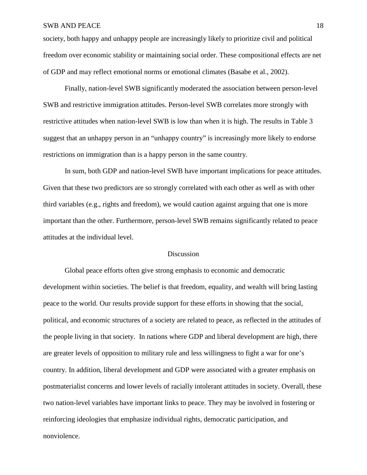society, both happy and unhappy people are increasingly likely to prioritize civil and political freedom over economic stability or maintaining social order. These compositional effects are net of GDP and may reflect emotional norms or emotional climates (Basabe et al., 2002).

Finally, nation-level SWB significantly moderated the association between person-level SWB and restrictive immigration attitudes. Person-level SWB correlates more strongly with restrictive attitudes when nation-level SWB is low than when it is high. The results in Table 3 suggest that an unhappy person in an "unhappy country" is increasingly more likely to endorse restrictions on immigration than is a happy person in the same country.

In sum, both GDP and nation-level SWB have important implications for peace attitudes. Given that these two predictors are so strongly correlated with each other as well as with other third variables (e.g., rights and freedom), we would caution against arguing that one is more important than the other. Furthermore, person-level SWB remains significantly related to peace attitudes at the individual level.

### Discussion

Global peace efforts often give strong emphasis to economic and democratic development within societies. The belief is that freedom, equality, and wealth will bring lasting peace to the world. Our results provide support for these efforts in showing that the social, political, and economic structures of a society are related to peace, as reflected in the attitudes of the people living in that society. In nations where GDP and liberal development are high, there are greater levels of opposition to military rule and less willingness to fight a war for one's country. In addition, liberal development and GDP were associated with a greater emphasis on postmaterialist concerns and lower levels of racially intolerant attitudes in society. Overall, these two nation-level variables have important links to peace. They may be involved in fostering or reinforcing ideologies that emphasize individual rights, democratic participation, and nonviolence.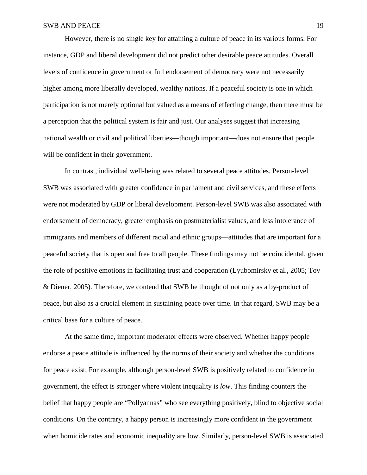However, there is no single key for attaining a culture of peace in its various forms. For instance, GDP and liberal development did not predict other desirable peace attitudes. Overall levels of confidence in government or full endorsement of democracy were not necessarily higher among more liberally developed, wealthy nations. If a peaceful society is one in which participation is not merely optional but valued as a means of effecting change, then there must be a perception that the political system is fair and just. Our analyses suggest that increasing national wealth or civil and political liberties—though important—does not ensure that people will be confident in their government.

In contrast, individual well-being was related to several peace attitudes. Person-level SWB was associated with greater confidence in parliament and civil services, and these effects were not moderated by GDP or liberal development. Person-level SWB was also associated with endorsement of democracy, greater emphasis on postmaterialist values, and less intolerance of immigrants and members of different racial and ethnic groups—attitudes that are important for a peaceful society that is open and free to all people. These findings may not be coincidental, given the role of positive emotions in facilitating trust and cooperation (Lyubomirsky et al., 2005; Tov & Diener, 2005). Therefore, we contend that SWB be thought of not only as a by-product of peace, but also as a crucial element in sustaining peace over time. In that regard, SWB may be a critical base for a culture of peace.

At the same time, important moderator effects were observed. Whether happy people endorse a peace attitude is influenced by the norms of their society and whether the conditions for peace exist. For example, although person-level SWB is positively related to confidence in government, the effect is stronger where violent inequality is *low*. This finding counters the belief that happy people are "Pollyannas" who see everything positively, blind to objective social conditions. On the contrary, a happy person is increasingly more confident in the government when homicide rates and economic inequality are low. Similarly, person-level SWB is associated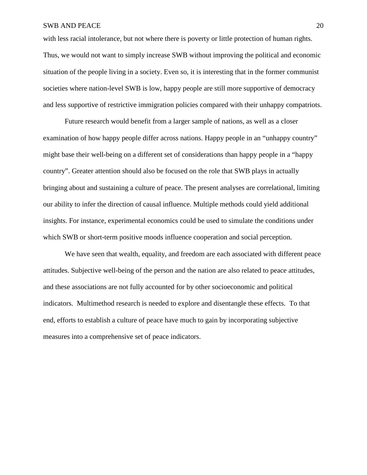with less racial intolerance, but not where there is poverty or little protection of human rights. Thus, we would not want to simply increase SWB without improving the political and economic situation of the people living in a society. Even so, it is interesting that in the former communist societies where nation-level SWB is low, happy people are still more supportive of democracy and less supportive of restrictive immigration policies compared with their unhappy compatriots.

Future research would benefit from a larger sample of nations, as well as a closer examination of how happy people differ across nations. Happy people in an "unhappy country" might base their well-being on a different set of considerations than happy people in a "happy country". Greater attention should also be focused on the role that SWB plays in actually bringing about and sustaining a culture of peace. The present analyses are correlational, limiting our ability to infer the direction of causal influence. Multiple methods could yield additional insights. For instance, experimental economics could be used to simulate the conditions under which SWB or short-term positive moods influence cooperation and social perception.

We have seen that wealth, equality, and freedom are each associated with different peace attitudes. Subjective well-being of the person and the nation are also related to peace attitudes, and these associations are not fully accounted for by other socioeconomic and political indicators. Multimethod research is needed to explore and disentangle these effects. To that end, efforts to establish a culture of peace have much to gain by incorporating subjective measures into a comprehensive set of peace indicators.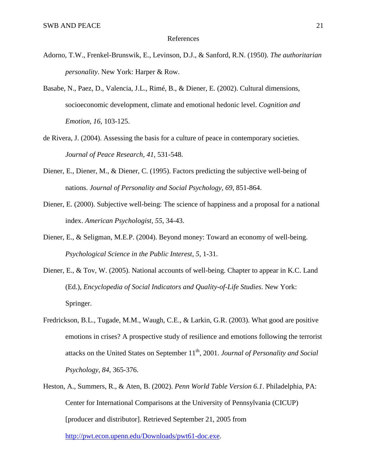#### References

- Adorno, T.W., Frenkel-Brunswik, E., Levinson, D.J., & Sanford, R.N. (1950). *The authoritarian personality*. New York: Harper & Row.
- Basabe, N., Paez, D., Valencia, J.L., Rimé, B., & Diener, E. (2002). Cultural dimensions, socioeconomic development, climate and emotional hedonic level. *Cognition and Emotion, 16*, 103-125.
- de Rivera, J. (2004). Assessing the basis for a culture of peace in contemporary societies. *Journal of Peace Research, 41*, 531-548.
- Diener, E., Diener, M., & Diener, C. (1995). Factors predicting the subjective well-being of nations. *Journal of Personality and Social Psychology, 69*, 851-864.
- Diener, E. (2000). Subjective well-being: The science of happiness and a proposal for a national index. *American Psychologist, 55*, 34-43.
- Diener, E., & Seligman, M.E.P. (2004). Beyond money: Toward an economy of well-being. *Psychological Science in the Public Interest, 5*, 1-31.
- Diener, E., & Tov, W. (2005). National accounts of well-being. Chapter to appear in K.C. Land (Ed.), *Encyclopedia of Social Indicators and Quality-of-Life Studies*. New York: Springer.
- Fredrickson, B.L., Tugade, M.M., Waugh, C.E., & Larkin, G.R. (2003). What good are positive emotions in crises? A prospective study of resilience and emotions following the terrorist attacks on the United States on September 11th, 2001. *Journal of Personality and Social Psychology, 84*, 365-376.
- Heston, A., Summers, R., & Aten, B. (2002). *Penn World Table Version 6.1*. Philadelphia, PA: Center for International Comparisons at the University of Pennsylvania (CICUP) [producer and distributor]. Retrieved September 21, 2005 from [http://pwt.econ.upenn.edu/Downloads/pwt61-doc.exe.](http://pwt.econ.upenn.edu/Downloads/pwt61-doc.exe)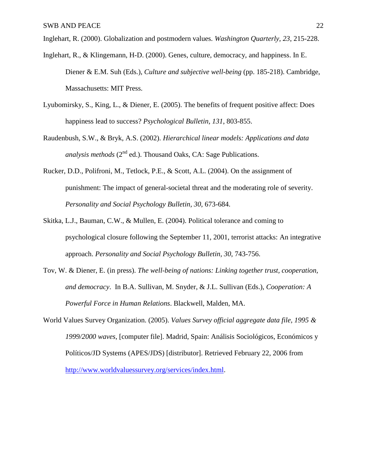Inglehart, R. (2000). Globalization and postmodern values. *Washington Quarterly, 23*, 215-228.

- Inglehart, R., & Klingemann, H-D. (2000). Genes, culture, democracy, and happiness. In E. Diener & E.M. Suh (Eds.), *Culture and subjective well-being* (pp. 185-218). Cambridge, Massachusetts: MIT Press.
- Lyubomirsky, S., King, L., & Diener, E. (2005). The benefits of frequent positive affect: Does happiness lead to success? *Psychological Bulletin, 131*, 803-855.
- Raudenbush, S.W., & Bryk, A.S. (2002). *Hierarchical linear models: Applications and data analysis methods* ( $2<sup>nd</sup>$  ed.). Thousand Oaks, CA: Sage Publications.
- Rucker, D.D., Polifroni, M., Tetlock, P.E., & Scott, A.L. (2004). On the assignment of punishment: The impact of general-societal threat and the moderating role of severity. *Personality and Social Psychology Bulletin, 30*, 673-684.
- Skitka, L.J., Bauman, C.W., & Mullen, E. (2004). Political tolerance and coming to psychological closure following the September 11, 2001, terrorist attacks: An integrative approach. *Personality and Social Psychology Bulletin, 30*, 743-756.
- Tov, W. & Diener, E. (in press). *The well-being of nations: Linking together trust, cooperation, and democracy*. In B.A. Sullivan, M. Snyder, & J.L. Sullivan (Eds.), *Cooperation: A Powerful Force in Human Relations*. Blackwell, Malden, MA.
- World Values Survey Organization. (2005). *Values Survey official aggregate data file, 1995 & 1999/2000 waves*, [computer file]. Madrid, Spain: Análisis Sociológicos, Económicos y Políticos/JD Systems (APES/JDS) [distributor]. Retrieved February 22, 2006 from <http://www.worldvaluessurvey.org/services/index.html>.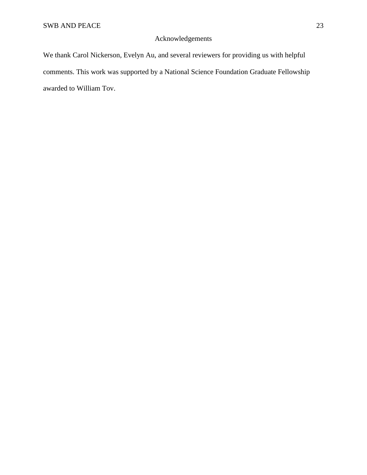# Acknowledgements

We thank Carol Nickerson, Evelyn Au, and several reviewers for providing us with helpful comments. This work was supported by a National Science Foundation Graduate Fellowship awarded to William Tov.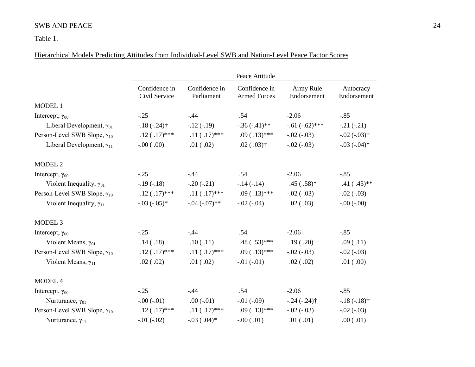# Table 1.

# Hierarchical Models Predicting Attitudes from Individual-Level SWB and Nation-Level Peace Factor Scores

|                                         | Peace Attitude                 |                             |                                      |                          |                          |
|-----------------------------------------|--------------------------------|-----------------------------|--------------------------------------|--------------------------|--------------------------|
|                                         | Confidence in<br>Civil Service | Confidence in<br>Parliament | Confidence in<br><b>Armed Forces</b> | Army Rule<br>Endorsement | Autocracy<br>Endorsement |
| MODEL 1                                 |                                |                             |                                      |                          |                          |
| Intercept, $\gamma_{00}$                | $-.25$                         | $-44$                       | .54                                  | $-2.06$                  | $-.85$                   |
| Liberal Development, $\gamma_{01}$      | $-.18(-.24)$ †                 | $-.12(-.19)$                | $-.36(-.41)$ **                      | $-.61 (-.62)$ ***        | $-.21(-.21)$             |
| Person-Level SWB Slope, $\gamma_{10}$   | $.12(.17)$ ***                 | $.11(.17)$ ***              | $.09(.13)$ ***                       | $-0.02(-0.03)$           | $-.02(-.03)$ †           |
| Liberal Development, $\gamma_{11}$      | $-0.00(0.00)$                  | .01(.02)                    | $.02$ (.03) <sup>†</sup>             | $-.02(-.03)$             | $-.03(-.04)*$            |
| MODEL <sub>2</sub>                      |                                |                             |                                      |                          |                          |
| Intercept, $\gamma_{00}$                | $-.25$                         | $-.44$                      | .54                                  | $-2.06$                  | $-.85$                   |
| Violent Inequality, $\gamma_{01}$       | $-.19(-.18)$                   | $-.20(-.21)$                | $-14(-14)$                           | $.45(.58)*$              | $.41(.45)$ **            |
| Person-Level SWB Slope, $\gamma_{10}$   | $.12(.17)$ ***                 | $.11(.17)$ ***              | $.09(.13)$ ***                       | $-.02(-.03)$             | $-.02(-.03)$             |
| Violent Inequality, $\gamma_{11}$       | $-.03(-.05)*$                  | $-0.04$ $(-0.07)$ **        | $-0.02(-0.04)$                       | $.02$ ( $.03$ )          | $-.00(-.00)$             |
| MODEL <sub>3</sub>                      |                                |                             |                                      |                          |                          |
| Intercept, $\gamma_{00}$                | $-.25$                         | $-.44$                      | .54                                  | $-2.06$                  | $-.85$                   |
| Violent Means, $\gamma_{01}$            | .14(.18)                       | .10(.11)                    | $.48(.53)$ ***                       | .19(.20)                 | .09(.11)                 |
| Person-Level SWB Slope, $\gamma_{10}$   | $.12(.17)$ ***                 | $.11(.17)$ ***              | $.09(.13)$ ***                       | $-.02(-.03)$             | $-.02(-.03)$             |
| Violent Means, $\gamma_{11}$            | $.02$ ( $.02$ )                | .01(.02)                    | $-0.01(-0.01)$                       | $.02$ ( $.02$ )          | .01(.00)                 |
| MODEL 4                                 |                                |                             |                                      |                          |                          |
| Intercept, $\gamma_{00}$                | $-.25$                         | $-.44$                      | .54                                  | $-2.06$                  | $-.85$                   |
| Nurturance, γ <sub>01</sub>             | $-.00(-.01)$                   | $.00(-.01)$                 | $-0.01(-0.09)$                       | $-.24(-.24)$ †           | $-.18(-.18)$ †           |
| Person-Level SWB Slope, γ <sub>10</sub> | $.12(.17)$ ***                 | $.11(.17)$ ***              | $.09$ (.13)***                       | $-.02(-.03)$             | $-.02(-.03)$             |
| Nurturance, $\gamma_{11}$               | $-.01(-.02)$                   | $-.03$ (.04) <sup>*</sup>   | $-0.00(0.01)$                        | .01(.01)                 | .00(.01)                 |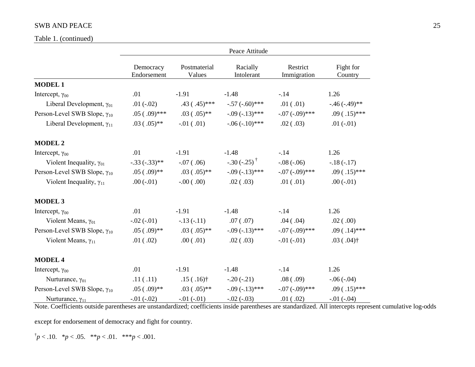### Table 1. (continued)

|                                         | Peace Attitude           |                        |                           |                         |                              |  |
|-----------------------------------------|--------------------------|------------------------|---------------------------|-------------------------|------------------------------|--|
|                                         | Democracy<br>Endorsement | Postmaterial<br>Values | Racially<br>Intolerant    | Restrict<br>Immigration | Fight for<br>Country         |  |
| <b>MODEL 1</b>                          |                          |                        |                           |                         |                              |  |
| Intercept, $\gamma_{00}$                | .01                      | $-1.91$                | $-1.48$                   | $-14$                   | 1.26                         |  |
| Liberal Development, $\gamma_{01}$      | $.01(-.02)$              | $.43(.45)$ ***         | $-.57$ ( $-.60$ )***      | .01(.01)                | $-46(-49)$ **                |  |
| Person-Level SWB Slope, $\gamma_{10}$   | $.05$ ( $.09$ )***       | $.03$ ( $.05$ )**      | $-0.09(-13)$ ***          | $-.07(-.09)$ ***        | $.09(.15)$ ***               |  |
| Liberal Development, $\gamma_{11}$      | $.03$ ( $.05$ )**        | $-0.01$ (.01)          | $-0.06(-10)$ ***          | $.02$ ( $.03$ )         | $.01(-.01)$                  |  |
| <b>MODEL 2</b>                          |                          |                        |                           |                         |                              |  |
| Intercept, $\gamma_{00}$                | .01                      | $-1.91$                | $-1.48$                   | $-14$                   | 1.26                         |  |
| Violent Inequality, $\gamma_{01}$       | $-.33(-.33)$ **          | $-0.07$ (.06)          | $-.30(-.25)$ <sup>†</sup> | $-.08(-.06)$            | $-.18(-.17)$                 |  |
| Person-Level SWB Slope, $\gamma_{10}$   | $.05$ ( $.09$ )**        | $.03$ ( $.05$ )**      | $-0.09(-13)$ ***          | $-0.07(-0.09)$ ***      | $.09$ (.15)***               |  |
| Violent Inequality, $\gamma_{11}$       | $.00(-.01)$              | $-0.00$ (0.00)         | $.02$ ( $.03$ )           | .01(.01)                | $.00(-.01)$                  |  |
| <b>MODEL 3</b>                          |                          |                        |                           |                         |                              |  |
| Intercept, $\gamma_{00}$                | .01                      | $-1.91$                | $-1.48$                   | $-14$                   | 1.26                         |  |
| Violent Means, $\gamma_{01}$            | $-.02(-.01)$             | $-.13(-.11)$           | .07(.07)                  | .04(.04)                | $.02$ ( $.00$ )              |  |
| Person-Level SWB Slope, $\gamma_{10}$   | $.05$ ( $.09$ )**        | $.03$ ( $.05$ )**      | $-0.09(-13)$ ***          | $-.07(-.09)$ ***        | $.09$ (.14)***               |  |
| Violent Means, $\gamma_{11}$            | .01(.02)                 | .00(.01)               | $.02$ ( $.03$ )           | $-.01(-.01)$            | $.03$ ( $.04$ ) <sup>†</sup> |  |
| <b>MODEL 4</b>                          |                          |                        |                           |                         |                              |  |
| Intercept, $\gamma_{00}$                | .01                      | $-1.91$                | $-1.48$                   | $-14$                   | 1.26                         |  |
| Nurturance, $\gamma_{01}$               | .11(.11)                 | $.15(.16)$ †           | $-.20(-.21)$              | .08(.09)                | $-.06(-.04)$                 |  |
| Person-Level SWB Slope, γ <sub>10</sub> | $.05$ ( $.09$ )**        | $.03$ ( $.05$ )**      | $-.09(-.13)$ ***          | $-.07(-.09)$ ***        | $.09$ (.15)***               |  |
| Nurturance, $\gamma_{11}$               | $-.01(-.02)$             | $-.01(-.01)$           | $-.02(-.03)$              | .01(.02)                | $-.01(-.04)$                 |  |

Note. Coefficients outside parentheses are unstandardized; coefficients inside parentheses are standardized. All intercepts represent cumulative log-odds

except for endorsement of democracy and fight for country.

 $\phi^{\dagger} p < .10.$  \* $p < .05.$  \*\* $p < .01.$  \*\*\* $p < .001.$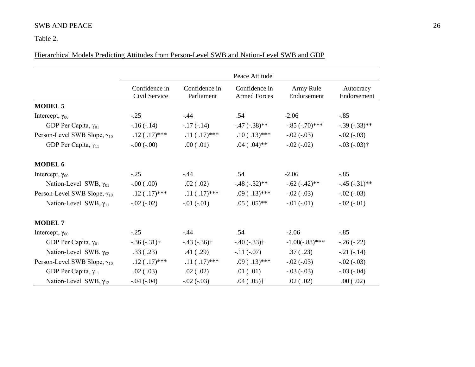# Table 2.

# Hierarchical Models Predicting Attitudes from Person-Level SWB and Nation-Level SWB and GDP

|                                       | Peace Attitude                 |                             |                                      |                          |                          |
|---------------------------------------|--------------------------------|-----------------------------|--------------------------------------|--------------------------|--------------------------|
|                                       | Confidence in<br>Civil Service | Confidence in<br>Parliament | Confidence in<br><b>Armed Forces</b> | Army Rule<br>Endorsement | Autocracy<br>Endorsement |
| <b>MODEL 5</b>                        |                                |                             |                                      |                          |                          |
| Intercept, $\gamma_{00}$              | $-.25$                         | $-.44$                      | .54                                  | $-2.06$                  | $-.85$                   |
| GDP Per Capita, $\gamma_{01}$         | $-16(-14)$                     | $-.17(-.14)$                | $-47$ ( $-38$ )**                    | $-.85$ ( $-.70$ )***     | $-.39(-.33)$ **          |
| Person-Level SWB Slope, $\gamma_{10}$ | $.12(.17)$ ***                 | $.11(.17)$ ***              | $.10(.13)$ ***                       | $-.02(-.03)$             | $-.02(-.03)$             |
| GDP Per Capita, $\gamma_{11}$         | $-.00(-.00)$                   | .00(.01)                    | $.04$ ( $.04$ )**                    | $-0.02(-0.02)$           | $-.03(-03)$ †            |
| <b>MODEL 6</b>                        |                                |                             |                                      |                          |                          |
| Intercept, $\gamma_{00}$              | $-.25$                         | $-.44$                      | .54                                  | $-2.06$                  | $-.85$                   |
| Nation-Level SWB, $\gamma_{01}$       | $-0.00(0.00)$                  | .02(.02)                    | $-48$ ( $-32$ )**                    | $-.62 (-.42)$ **         | $-.45$ ( $-.31$ )**      |
| Person-Level SWB Slope, $\gamma_{10}$ | $.12(.17)$ ***                 | $.11(.17)$ ***              | $.09(.13)$ ***                       | $-.02(-.03)$             | $-.02(-.03)$             |
| Nation-Level SWB, $\gamma_{11}$       | $-.02(-.02)$                   | $-0.01(-0.01)$              | $.05(.05)$ **                        | $-0.01(-0.01)$           | $-.02(-.01)$             |
| <b>MODEL 7</b>                        |                                |                             |                                      |                          |                          |
| Intercept, $\gamma_{00}$              | $-.25$                         | $-.44$                      | .54                                  | $-2.06$                  | $-.85$                   |
| GDP Per Capita, $\gamma_{01}$         | $-.36(-.31)$ †                 | $-.43(-.36)$ †              | $-40$ ( $-33$ ) <sup>†</sup>         | $-1.08(-.88)$ ***        | $-.26(-.22)$             |
| Nation-Level SWB, $\gamma_{02}$       | .33(.23)                       | .41(.29)                    | $-.11(-.07)$                         | .37(.23)                 | $-.21(-.14)$             |
| Person-Level SWB Slope, $\gamma_{10}$ | $.12(.17)$ ***                 | $.11(.17)$ ***              | $.09(.13)$ ***                       | $-.02(-.03)$             | $-.02(-.03)$             |
| GDP Per Capita, $\gamma_{11}$         | $.02$ ( $.03$ )                | $.02$ ( $.02$ )             | .01(.01)                             | $-.03(-03)$              | $-.03(-04)$              |
| Nation-Level SWB, $\gamma_{12}$       | $-0.04(-0.04)$                 | $-.02(-.03)$                | $.04(.05)$ †                         | .02(.02)                 | .00(0.02)                |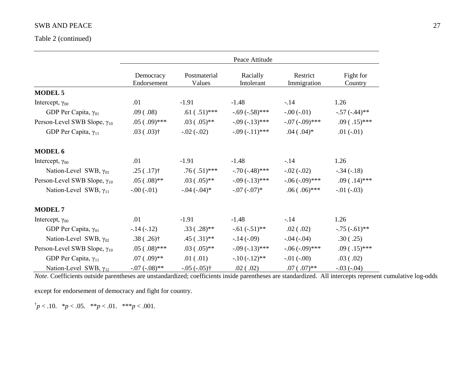### Table 2 (continued)

|                                       | Peace Attitude           |                        |                        |                         |                      |
|---------------------------------------|--------------------------|------------------------|------------------------|-------------------------|----------------------|
|                                       | Democracy<br>Endorsement | Postmaterial<br>Values | Racially<br>Intolerant | Restrict<br>Immigration | Fight for<br>Country |
| <b>MODEL 5</b>                        |                          |                        |                        |                         |                      |
| Intercept, $\gamma_{00}$              | .01                      | $-1.91$                | $-1.48$                | $-14$                   | 1.26                 |
| GDP Per Capita, $\gamma_{01}$         | .09(.08)                 | $.61(.51)$ ***         | $-.69(-.58)$ ***       | $-.00(-.01)$            | $-.57$ ( $-.44$ )**  |
| Person-Level SWB Slope, $\gamma_{10}$ | $.05$ ( $.09$ )***       | $.03$ ( $.05$ )**      | $-0.09(-13)$ ***       | $-0.07(-0.09)$ ***      | $.09(.15)$ ***       |
| GDP Per Capita, $\gamma_{11}$         | $.03$ (.03) <sup>†</sup> | $-.02(-.02)$           | $-0.09(-11)$ ***       | $.04$ (.04)*            | $.01(-.01)$          |
| MODEL 6                               |                          |                        |                        |                         |                      |
| Intercept, $\gamma_{00}$              | .01                      | $-1.91$                | $-1.48$                | $-.14$                  | 1.26                 |
| Nation-Level SWB, $\gamma_{01}$       | $.25(.17)$ †             | $.76(.51)$ ***         | $-.70(-.48)$ ***       | $-.02(-.02)$            | $-.34(-.18)$         |
| Person-Level SWB Slope, $\gamma_{10}$ | $.05$ ( $.08$ )**        | $.03$ ( $.05$ )**      | $-0.09(-13)$ ***       | $-0.06(-0.09)$ ***      | $.09(.14)$ ***       |
| Nation-Level SWB, $\gamma_{11}$       | $-.00(-.01)$             | $-0.04(-0.04)$ *       | $-.07(-.07)*$          | $.06$ ( $.06$ )***      | $-0.01(-0.03)$       |
| <b>MODEL 7</b>                        |                          |                        |                        |                         |                      |
| Intercept, $\gamma_{00}$              | .01                      | $-1.91$                | $-1.48$                | $-.14$                  | 1.26                 |
| GDP Per Capita, $\gamma_{01}$         | $-.14(-.12)$             | $.33(.28)$ **          | $-.61(-.51)$ **        | .02(.02)                | $-.75$ ( $-.61$ )**  |
| Nation-Level SWB, $\gamma_{02}$       | $.38(.26)$ †             | $.45(.31)$ **          | $-.14(-.09)$           | $-.04 (-04)$            | .30(.25)             |
| Person-Level SWB Slope, $\gamma_{10}$ | $.05$ ( $.08$ )***       | $.03$ ( $.05$ )**      | $-.09(-.13)$ ***       | $-.06(-.09)$ ***        | $.09(.15)$ ***       |
| GDP Per Capita, $\gamma_{11}$         | $.07$ (.09)**            | .01(.01)               | $-.10(-.12)$ **        | $-.01(-.00)$            | .03(.02)             |
| Nation-Level SWB, $\gamma_{12}$       | $-.07 (-.08)$ **         | $-0.05(-0.05)$ †       | .02(.02)               | $.07$ ( $.07$ )**       | $-.03(-.04)$         |

*Note*. Coefficients outside parentheses are unstandardized; coefficients inside parentheses are standardized. All intercepts represent cumulative log-odds

except for endorsement of democracy and fight for country.

 $\phi^{\dagger} p < .10.$  \* $p < .05.$  \*\* $p < .01.$  \*\*\* $p < .001.$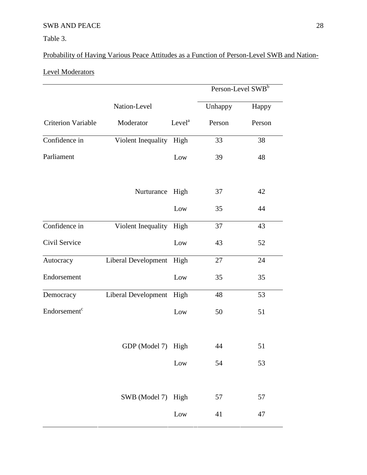# Table 3.

# Probability of Having Various Peace Attitudes as a Function of Person-Level SWB and Nation-

### Level Moderators

|                           |                          |                    | Person-Level SWB <sup>b</sup> |        |  |
|---------------------------|--------------------------|--------------------|-------------------------------|--------|--|
|                           | Nation-Level             |                    | Unhappy                       | Happy  |  |
| <b>Criterion Variable</b> | Moderator                | Level <sup>a</sup> | Person                        | Person |  |
| Confidence in             | Violent Inequality High  |                    | 33                            | 38     |  |
| Parliament                |                          | Low                | 39                            | 48     |  |
|                           | Nurturance High          |                    | 37                            | 42     |  |
|                           |                          | Low                | 35                            | 44     |  |
| Confidence in             | Violent Inequality High  |                    | 37                            | 43     |  |
| Civil Service             |                          | Low                | 43                            | 52     |  |
| Autocracy                 | Liberal Development High |                    | 27                            | 24     |  |
| Endorsement               |                          | Low                | 35                            | 35     |  |
| Democracy                 | Liberal Development High |                    | 48                            | 53     |  |
| Endorsement <sup>c</sup>  |                          | Low                | 50                            | 51     |  |
|                           | GDP (Model 7) High       |                    | 44                            | 51     |  |
|                           |                          | Low                | 54                            | 53     |  |
|                           |                          |                    |                               |        |  |
|                           | SWB (Model 7) High       |                    | 57                            | 57     |  |
|                           |                          | Low                | 41                            | 47     |  |
|                           |                          |                    |                               |        |  |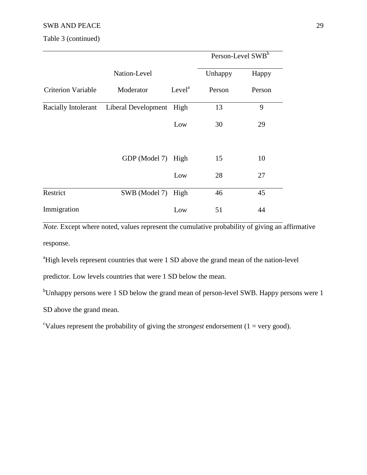### Table 3 (continued)

|                           |                            | Person-Level SWB <sup>b</sup> |         |        |
|---------------------------|----------------------------|-------------------------------|---------|--------|
|                           | Nation-Level               |                               | Unhappy | Happy  |
| <b>Criterion Variable</b> | Moderator                  | Level <sup>a</sup>            | Person  | Person |
| Racially Intolerant       | <b>Liberal Development</b> | High                          | 13      | 9      |
|                           |                            | Low                           | 30      | 29     |
|                           | GDP (Model 7)              | High                          | 15      | 10     |
|                           |                            | Low                           | 28      | 27     |
| Restrict                  | SWB (Model 7)              | High                          | 46      | 45     |
| Immigration               |                            | Low                           | 51      | 44     |

*Note.* Except where noted, values represent the cumulative probability of giving an affirmative response.

<sup>a</sup>High levels represent countries that were 1 SD above the grand mean of the nation-level

predictor. Low levels countries that were 1 SD below the mean.

<sup>b</sup>Unhappy persons were 1 SD below the grand mean of person-level SWB. Happy persons were 1

SD above the grand mean.

<sup>c</sup>Values represent the probability of giving the *strongest* endorsement ( $1 = \text{very good}$ ).